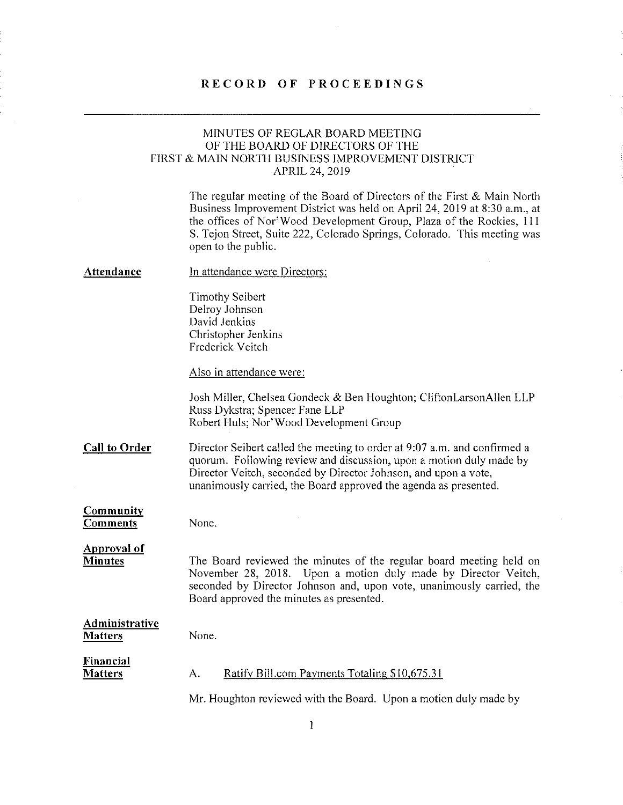#### RECORD OF PROCEEDINGS

### MINUTES OF REGLAR BOARD MEETING OF THE BOARD OF DIRECTORS OF THE FIRST & MAIN NORTH BUSINESS IMPROVEMENT DISTRICT APRIL 24, 2019

The regular meeting of the Board of Directors of the First & Main North Business Improvement District was held on April 24, 2019 at 8:30 am., at the offices of Nor'Wood Development Group, Plaza of the Rockies, 111 S. Tejon Street, Suite 222, Colorado Springs, Colorado. This meeting was open to the public.

#### Attendance In attendance were Directors:

Timothy Seibert Delroy Johnson David Jenkins Christopher Jenkins Frederick Veitch

Also in attendance were:

Josh Miller, Chelsea Gondeck & Ben Houghton; CliftonLarsonAllen LLP Russ Dykstra; Spencer Fane LLP Robert Huls; Nor' Wood Development Group

Call to Order Director Seibert called the meeting to order at 9:07 a.m. and confirmed a quorum. Following review and discussion, upon a motion duly made by Director Veitch, seconded by Director Johnson, and upon a vote, unanimously carried, the Board approved the agenda as presented.

#### Community Comments

None.

Approval of **Minutes** 

The Board reviewed the minutes of the regular board meeting held on November 28, 2018. Upon a motion duly made by Director Veitch, seconded by Director Johnson and, upon vote, unanimously carried, the Board approved the minutes as presented.

#### Administrative **Matters** None.

Financial **Matters** A. Ratify Bill.com Payments Totaling \$10,675.31

Mr. Houghton reviewed with the Board. Upon a motion duly made by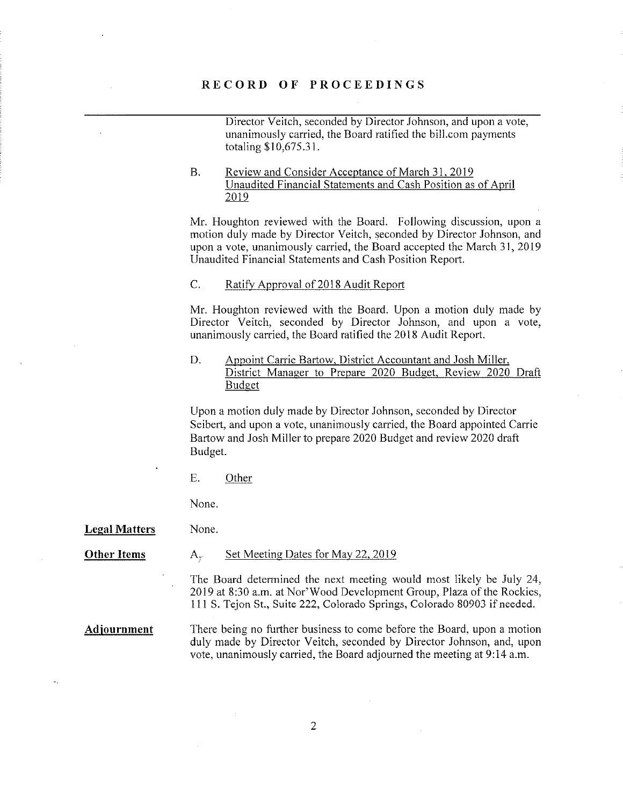#### RECORD OF PROCEEDINGS

Director Veitch, seconded by Director Johnson, and upon a vote, unanimously carried, the Board ratified the bill.com payments totaling \$10,675.31.

#### B. Review and Consider Acceptance of March 31. 2019 Unaudited Financial Statements and Cash Position as of April 2019

Mr. Houghton reviewed with the Board. Following discussion, upon a motion duly made by Director Veitch, seconded by Director Johnson, and upon a vote, unanimously carried, the Board accepted the March 31, 2019 Unaudited Financial Statements and Cash Position Report.

#### C. Ratify Approval of 2018 Audit Report

Mr. Houghton reviewed with the Board. Upon a motion duly made by Director Veitch, seconded by Director Johnson, and upon a vote, unanimously carried, the Board ratified the 2018 Audit Report.

# D. Appoint Carrie Bartow, District Accountant and Josh Miller,<br>District Manager to Prepare 2020 Budget, Review 2020 Draft **Budget**

Upon a motion duly made by Director Johnson, seconded by Director Seibert, and upon a vote, unanimously carried, the Board appointed Carrie Bartow and Josh Miller to prepare 2020 Budget and review 2020 draft Budget.

E. Other

None.

Legal Matters None.

#### Other Items A. Set Meeting Dates for May 22, 2019

The Board determined the next meeting would most likely be July 24, 2019 at 8:30 a.m. at Nor'Wood Development Group, Plaza of the Rockies, 1 11 S. Tejon St., Suite 222, Colorado Springs, Colorado 80903 if needed.

Adjournment There being no further business to come before the Board, upon a motion duly made by Director Veitch, seconded by Director Johnson, and, upon vote, unanimously carried, the Board adjourned the meeting at 9:14 a.m.